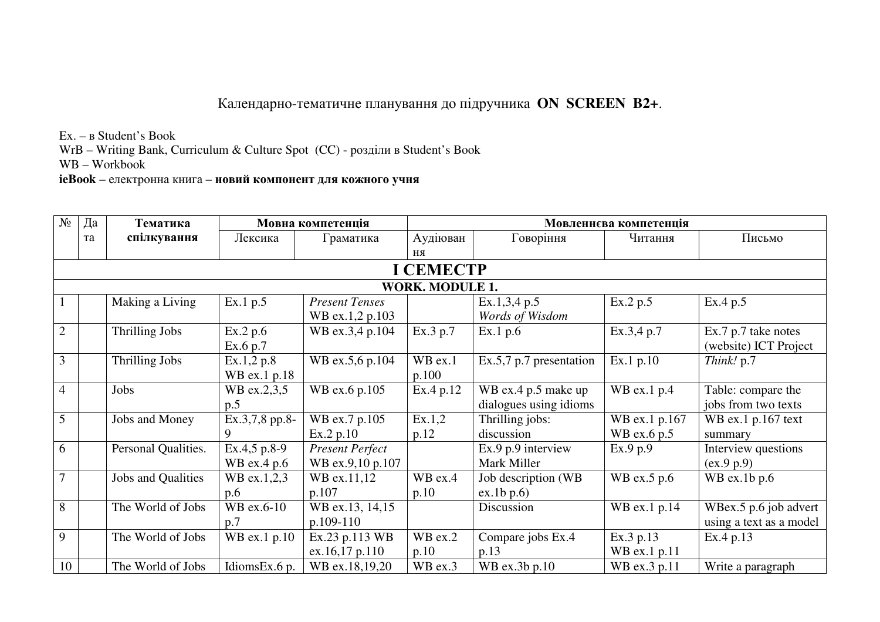## Календарно-тематичне планування до підручника **ON SCREEN B2+**.

Ex. – в Student's Book

WrB – Writing Bank, Curriculum & Culture Spot (CC) - розділи в Student's Book

WB – Workbook

**ieBook** – електронна книга – **новий компонент для кожного учня**

| $N_2$          | Да<br>Тематика<br>Мовна компетенція |                     |                             |                                            | Мовленнєва компетенція |                                               |                              |                                                  |  |  |
|----------------|-------------------------------------|---------------------|-----------------------------|--------------------------------------------|------------------------|-----------------------------------------------|------------------------------|--------------------------------------------------|--|--|
|                | та                                  | спілкування         | Лексика                     | Граматика                                  | Аудіюван               | Говоріння                                     | Читання                      | Письмо                                           |  |  |
|                |                                     |                     |                             |                                            | <b>RH</b>              |                                               |                              |                                                  |  |  |
|                |                                     |                     |                             |                                            | <b>I CEMECTP</b>       |                                               |                              |                                                  |  |  |
|                |                                     |                     |                             |                                            | <b>WORK. MODULE 1.</b> |                                               |                              |                                                  |  |  |
|                |                                     | Making a Living     | Ex.1 p.5                    | <b>Present Tenses</b><br>WB ex.1,2 p.103   |                        | Ex.1,3,4 p.5<br>Words of Wisdom               | Ex.2 p.5                     | Ex.4 p.5                                         |  |  |
| $\overline{2}$ |                                     | Thrilling Jobs      | Ex.2 p.6<br>Ex.6 p.7        | WB ex.3,4 p.104                            | Ex.3 p.7               | Ex.1 p.6                                      | Ex.3,4 p.7                   | Ex.7 p.7 take notes<br>(website) ICT Project     |  |  |
| $\overline{3}$ |                                     | Thrilling Jobs      | Ex.1,2 p.8<br>WB ex.1 p.18  | WB ex.5,6 p.104                            | WB ex.1<br>p.100       | $Ex.5,7, p.7$ presentation                    | Ex.1 p.10                    | Think! p.7                                       |  |  |
| $\overline{4}$ |                                     | Jobs                | WB ex.2,3,5<br>p.5          | WB ex.6 p.105                              | Ex.4 p.12              | WB ex.4 p.5 make up<br>dialogues using idioms | $WB$ ex.1 p.4                | Table: compare the<br>jobs from two texts        |  |  |
| 5              |                                     | Jobs and Money      | Ex.3,7,8 pp.8-<br>9         | WB ex.7 p.105<br>Ex.2 p.10                 | Ex.1,2<br>p.12         | Thrilling jobs:<br>discussion                 | WB ex.1 p.167<br>WB ex.6 p.5 | WB ex.1 p.167 text<br>summary                    |  |  |
| 6              |                                     | Personal Qualities. | Ex.4,5 p.8-9<br>WB ex.4 p.6 | <b>Present Perfect</b><br>WB ex.9,10 p.107 |                        | Ex.9 p.9 interview<br>Mark Miller             | Ex.9 p.9                     | Interview questions<br>(ex.9 p.9)                |  |  |
| $\overline{7}$ |                                     | Jobs and Qualities  | WB ex.1,2,3<br>p.6          | WB ex.11,12<br>p.107                       | WB ex.4<br>p.10        | Job description (WB<br>ex.1b p.6              | WB ex.5 p.6                  | WB ex.1b $p.6$                                   |  |  |
| 8              |                                     | The World of Jobs   | WB ex.6-10<br>p.7           | WB ex.13, 14,15<br>p.109-110               |                        | Discussion                                    | WB ex.1 p.14                 | WBex.5 p.6 job advert<br>using a text as a model |  |  |
| 9              |                                     | The World of Jobs   | WB ex.1 p.10                | Ex.23 p.113 WB<br>ex.16,17 p.110           | WB ex.2<br>p.10        | Compare jobs Ex.4<br>p.13                     | Ex.3 p.13<br>WB ex.1 p.11    | Ex.4 p.13                                        |  |  |
| 10             |                                     | The World of Jobs   | IdiomsEx.6 p.               | WB ex.18,19,20                             | WB ex.3                | WB ex.3b p.10                                 | WB ex.3 p.11                 | Write a paragraph                                |  |  |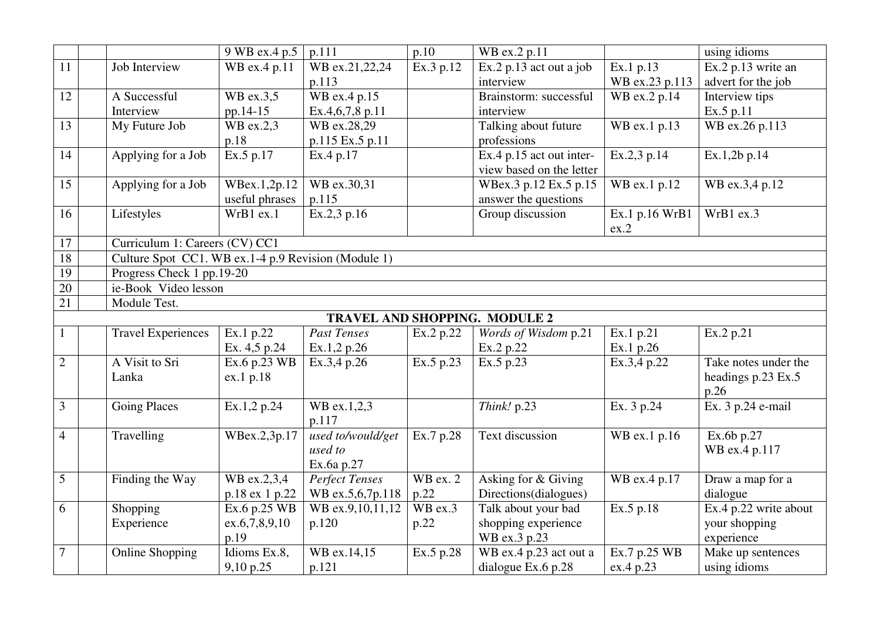|                |                                                     | 9 WB ex.4 p.5        | p.111                 | p.10       | WB ex.2 p.11                  |                | using idioms          |  |  |  |
|----------------|-----------------------------------------------------|----------------------|-----------------------|------------|-------------------------------|----------------|-----------------------|--|--|--|
| 11             | Job Interview                                       | WB ex.4 p.11         | WB ex.21,22,24        | Ex.3 p.12  | Ex.2 p.13 act out a job       | Ex.1 p.13      | Ex.2 p.13 write an    |  |  |  |
|                |                                                     |                      | p.113                 |            | interview                     | WB ex.23 p.113 | advert for the job    |  |  |  |
| 12             | A Successful                                        | WB ex.3.5            | WB ex.4 p.15          |            | Brainstorm: successful        | WB ex.2 p.14   | Interview tips        |  |  |  |
|                | Interview                                           | pp.14-15             | Ex.4,6,7,8 p.11       |            | interview                     |                | Ex.5 p.11             |  |  |  |
| 13             | My Future Job                                       | WB ex.2,3            | WB ex.28,29           |            | Talking about future          | WB ex.1 p.13   | WB ex.26 p.113        |  |  |  |
|                |                                                     | p.18                 | p.115 Ex.5 p.11       |            | professions                   |                |                       |  |  |  |
| 14             | Applying for a Job                                  | Ex.5 p.17            | Ex.4 p.17             |            | Ex.4 p.15 act out inter-      | Ex.2,3 p.14    | Ex.1,2b p.14          |  |  |  |
|                |                                                     |                      |                       |            | view based on the letter      |                |                       |  |  |  |
| 15             | Applying for a Job                                  | WBex.1,2p.12         | WB ex.30,31           |            | WBex.3 p.12 Ex.5 p.15         | WB ex.1 p.12   | WB ex.3,4 p.12        |  |  |  |
|                |                                                     | useful phrases       | p.115                 |            | answer the questions          |                |                       |  |  |  |
| 16             | Lifestyles                                          | WrB1 ex.1            | Ex.2,3 p.16           |            | Group discussion              | Ex.1 p.16 WrB1 | WrB1 ex.3             |  |  |  |
|                |                                                     |                      |                       |            |                               | ex.2           |                       |  |  |  |
| 17             | Curriculum 1: Careers (CV) CC1                      |                      |                       |            |                               |                |                       |  |  |  |
| 18             | Culture Spot CC1. WB ex.1-4 p.9 Revision (Module 1) |                      |                       |            |                               |                |                       |  |  |  |
| 19             | Progress Check 1 pp.19-20                           |                      |                       |            |                               |                |                       |  |  |  |
| 20             |                                                     | ie-Book Video lesson |                       |            |                               |                |                       |  |  |  |
| 21             | Module Test.                                        |                      |                       |            |                               |                |                       |  |  |  |
|                |                                                     |                      |                       |            | TRAVEL AND SHOPPING. MODULE 2 |                |                       |  |  |  |
|                | <b>Travel Experiences</b>                           | Ex.1 p.22            | <b>Past Tenses</b>    | Ex.2 p.22  | Words of Wisdom p.21          | Ex.1 p.21      | Ex.2 p.21             |  |  |  |
|                |                                                     | Ex. 4,5 p.24         | Ex.1,2 p.26           |            | Ex.2 p.22                     | Ex.1 p.26      |                       |  |  |  |
| $\overline{2}$ | A Visit to Sri                                      | Ex.6 p.23 WB         | Ex.3,4 p.26           | Ex.5 p.23  | Ex.5 p.23                     | Ex.3,4 p.22    | Take notes under the  |  |  |  |
|                | Lanka                                               | ex.1 p.18            |                       |            |                               |                | headings p.23 Ex.5    |  |  |  |
|                |                                                     |                      |                       |            |                               |                | p.26                  |  |  |  |
| 3              | <b>Going Places</b>                                 | Ex.1,2 p.24          | WB ex.1,2,3           |            | Think! p.23                   | Ex. 3 p.24     | Ex. 3 p.24 e-mail     |  |  |  |
|                |                                                     |                      | p.117                 |            |                               |                |                       |  |  |  |
| $\overline{4}$ | Travelling                                          | WBex.2,3p.17         | used to/would/get     | Ex.7 p.28  | <b>Text discussion</b>        | WB ex.1 p.16   | Ex.6b p.27            |  |  |  |
|                |                                                     |                      | used to               |            |                               |                | WB ex.4 p.117         |  |  |  |
|                |                                                     |                      | Ex.6a p.27            |            |                               |                |                       |  |  |  |
| 5              | Finding the Way                                     | WB ex.2,3,4          | <b>Perfect Tenses</b> | $WB$ ex. 2 | Asking for & Giving           | WB ex.4 p.17   | Draw a map for a      |  |  |  |
|                |                                                     | p.18 ex 1 p.22       | WB ex.5,6,7p.118      | p.22       | Directions(dialogues)         |                | dialogue              |  |  |  |
| 6              | Shopping                                            | Ex.6 p.25 WB         | WB ex.9,10,11,12      | WB ex.3    | Talk about your bad           | Ex.5 p.18      | Ex.4 p.22 write about |  |  |  |
|                | Experience                                          | ex.6,7,8,9,10        | p.120                 | p.22       | shopping experience           |                | your shopping         |  |  |  |
|                |                                                     | p.19                 |                       |            | WB ex.3 p.23                  |                | experience            |  |  |  |
| 7              | <b>Online Shopping</b>                              | Idioms Ex.8,         | WB ex.14,15           | Ex.5 p.28  | WB ex.4 p.23 act out a        | Ex.7 p.25 WB   | Make up sentences     |  |  |  |
|                |                                                     | 9,10 p.25            | p.121                 |            | dialogue Ex.6 p.28            | ex.4 p.23      | using idioms          |  |  |  |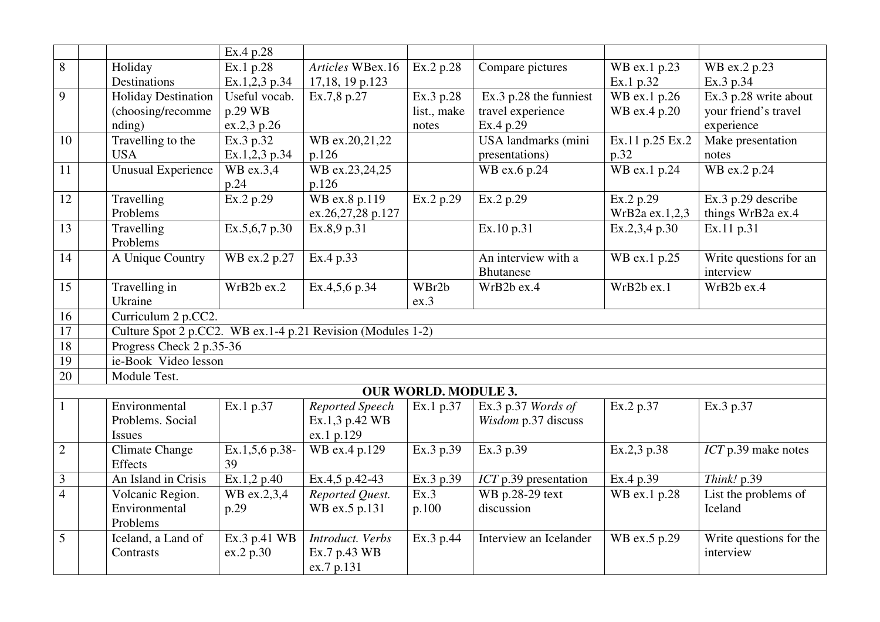|                |                                                             | Ex.4 p.28              |                   |                             |                            |                 |                         |
|----------------|-------------------------------------------------------------|------------------------|-------------------|-----------------------------|----------------------------|-----------------|-------------------------|
| 8              | Holiday                                                     | Ex.1 p.28              | Articles WBex.16  | Ex.2 p.28                   | Compare pictures           | WB ex.1 p.23    | WB ex.2 p.23            |
|                | Destinations                                                | Ex.1,2,3 p.34          | 17,18, 19 p.123   |                             |                            | Ex.1 p.32       | Ex.3 p.34               |
| 9              | <b>Holiday Destination</b>                                  | Useful vocab.          | Ex.7,8 p.27       | Ex.3 p.28                   | Ex.3 p.28 the funniest     | WB ex.1 p.26    | Ex.3 p.28 write about   |
|                | (choosing/recomme                                           | p.29 WB                |                   | list., make                 | travel experience          | WB ex.4 p.20    | your friend's travel    |
|                | nding)                                                      | ex.2,3 p.26            |                   | notes                       | Ex.4 p.29                  |                 | experience              |
| 10             | Travelling to the                                           | Ex.3 p.32              | WB ex.20,21,22    |                             | <b>USA</b> landmarks (mini | Ex.11 p.25 Ex.2 | Make presentation       |
|                | <b>USA</b>                                                  | Ex.1,2,3 p.34          | p.126             |                             | presentations)             | p.32            | notes                   |
| 11             | <b>Unusual Experience</b>                                   | $\overline{WB}$ ex.3,4 | WB ex.23,24,25    |                             | WB ex.6 p.24               | WB ex.1 $p.24$  | WB ex.2 p.24            |
|                |                                                             | p.24                   | p.126             |                             |                            |                 |                         |
| 12             | Travelling                                                  | Ex.2 p.29              | WB ex.8 p.119     | Ex.2 p.29                   | Ex.2 p.29                  | Ex.2 p.29       | Ex.3 p.29 describe      |
|                | Problems                                                    |                        | ex.26,27,28 p.127 |                             |                            | WrB2a ex.1,2,3  | things WrB2a ex.4       |
| 13             | Travelling                                                  | Ex.5,6,7 p.30          | Ex.8,9 p.31       |                             | Ex.10 p.31                 | Ex.2,3,4 p.30   | Ex.11 p.31              |
|                | Problems                                                    |                        |                   |                             |                            |                 |                         |
| 14             | A Unique Country                                            | WB ex.2 p.27           | Ex.4 p.33         |                             | An interview with a        | WB ex.1 p.25    | Write questions for an  |
|                |                                                             |                        |                   |                             | <b>Bhutanese</b>           |                 | interview               |
| 15             | Travelling in                                               | WrB2b ex.2             | Ex.4,5,6 p.34     | WBr2b                       | WrB2b ex.4                 | WrB2b ex.1      | WrB2b ex.4              |
|                | Ukraine                                                     |                        |                   | ex.3                        |                            |                 |                         |
| 16             | Curriculum 2 p.CC2.                                         |                        |                   |                             |                            |                 |                         |
| 17             | Culture Spot 2 p.CC2. WB ex.1-4 p.21 Revision (Modules 1-2) |                        |                   |                             |                            |                 |                         |
| 18             | Progress Check 2 p.35-36                                    |                        |                   |                             |                            |                 |                         |
| 19             | ie-Book Video lesson                                        |                        |                   |                             |                            |                 |                         |
| 20             | Module Test.                                                |                        |                   |                             |                            |                 |                         |
|                |                                                             |                        |                   | <b>OUR WORLD. MODULE 3.</b> |                            |                 |                         |
|                | Environmental                                               | Ex.1 p.37              | Reported Speech   | Ex.1 p.37                   | Ex.3 p.37 Words of         | Ex.2 p.37       | Ex.3 p.37               |
|                | Problems. Social                                            |                        | Ex.1,3 p.42 WB    |                             | Wisdom p.37 discuss        |                 |                         |
|                | <b>Issues</b>                                               |                        | ex.1 p.129        |                             |                            |                 |                         |
| $\mathbf{2}$   | <b>Climate Change</b>                                       | Ex.1,5,6 p.38-         | WB ex.4 p.129     | Ex.3 p.39                   | Ex.3 p.39                  | Ex.2,3 p.38     | ICT p.39 make notes     |
|                | Effects                                                     | 39                     |                   |                             |                            |                 |                         |
| $\mathfrak{Z}$ | An Island in Crisis                                         | Ex.1,2 p.40            | Ex.4,5 p.42-43    | Ex.3 p.39                   | $ICT$ p.39 presentation    | Ex.4 p.39       | Think! p.39             |
| $\overline{4}$ | Volcanic Region.                                            | WB ex.2,3,4            | Reported Quest.   | Ex.3                        | WB p.28-29 text            | WB ex.1 p.28    | List the problems of    |
|                | Environmental                                               | p.29                   | WB ex.5 p.131     | p.100                       | discussion                 |                 | Iceland                 |
|                | Problems                                                    |                        |                   |                             |                            |                 |                         |
| 5              | Iceland, a Land of                                          | Ex.3 p.41 WB           | Introduct. Verbs  | Ex.3 p.44                   | Interview an Icelander     | WB ex.5 p.29    | Write questions for the |
|                | Contrasts                                                   | ex.2 p.30              | Ex.7 p.43 WB      |                             |                            |                 | interview               |
|                |                                                             |                        | ex.7 p.131        |                             |                            |                 |                         |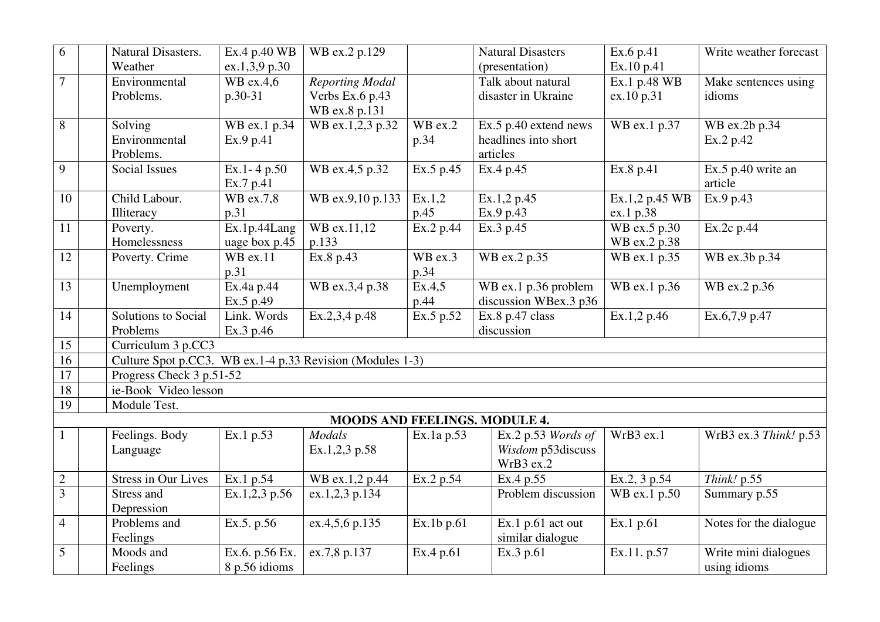| 6               | Natural Disasters.         | Ex.4 p.40 WB             | WB ex.2 p.129                                             |                       | <b>Natural Disasters</b>      | Ex.6 p.41                  | Write weather forecast |
|-----------------|----------------------------|--------------------------|-----------------------------------------------------------|-----------------------|-------------------------------|----------------------------|------------------------|
|                 | Weather                    | ex.1,3,9 p.30            |                                                           |                       | (presentation)                | Ex.10 p.41                 |                        |
| $\overline{7}$  | Environmental              | WB ex.4,6                | <b>Reporting Modal</b>                                    |                       | Talk about natural            | Ex.1 p.48 WB               | Make sentences using   |
|                 | Problems.                  | p.30-31                  | Verbs Ex.6 p.43                                           |                       | disaster in Ukraine           | ex.10 p.31                 | idioms                 |
|                 |                            |                          | WB ex.8 p.131                                             |                       |                               |                            |                        |
| 8               | Solving                    | WB ex.1 p.34             | WB ex.1,2,3 p.32                                          | $\overline{W}$ B ex.2 | Ex.5 p.40 extend news         | WB ex.1 p.37               | WB ex.2b p.34          |
|                 | Environmental              | Ex.9 p.41                |                                                           | p.34                  | headlines into short          |                            | Ex.2 p.42              |
|                 | Problems.                  |                          |                                                           |                       | articles                      |                            |                        |
| 9               | <b>Social Issues</b>       | Ex.1-4 p.50              | WB ex.4,5 p.32                                            | Ex.5 p.45             | Ex.4 p.45                     | Ex.8 p.41                  | Ex.5 p.40 write an     |
|                 |                            | Ex.7 p.41                |                                                           |                       |                               |                            | article                |
| 10              | Child Labour.              | WB ex.7,8                | WB ex.9,10 p.133                                          | Ex.1,2                | Ex.1,2 p.45                   | Ex.1,2 p.45 WB             | Ex.9 p.43              |
|                 | Illiteracy                 | p.31                     |                                                           | p.45                  | Ex.9 p.43                     | ex.1 p.38                  |                        |
| 11              | Poverty.                   | Ex.1p.44Lang             | WB ex.11,12                                               | Ex.2 p.44             | Ex.3 p.45                     | WB ex.5 p.30               | Ex.2c p.44             |
|                 | Homelessness               | uage box p.45            | p.133                                                     |                       |                               | WB ex.2 p.38               |                        |
| 12              | Poverty. Crime             | $WB$ ex.11               | Ex.8 p.43                                                 | WB ex.3               | WB ex.2 p.35                  | WB ex.1 p.35               | WB ex.3b p.34          |
|                 |                            | p.31                     |                                                           | p.34                  |                               |                            |                        |
| 13              | Unemployment               | Ex.4a p.44               | WB ex.3,4 p.38                                            | Ex.4,5                | WB ex.1 p.36 problem          | WB ex.1 p.36               | WB ex.2 p.36           |
|                 |                            | Ex.5 p.49                |                                                           | p.44                  | discussion WBex.3 p36         |                            |                        |
| 14              | Solutions to Social        | Link. Words              | Ex.2,3,4 p.48                                             | Ex.5 p.52             | Ex.8 p.47 class               | Ex.1,2 p.46                | Ex.6,7,9 p.47          |
|                 | Problems                   | Ex.3 p.46                |                                                           |                       | discussion                    |                            |                        |
| 15              | Curriculum 3 p.CC3         |                          |                                                           |                       |                               |                            |                        |
| $\overline{16}$ |                            |                          | Culture Spot p.CC3. WB ex.1-4 p.33 Revision (Modules 1-3) |                       |                               |                            |                        |
| $\overline{17}$ | Progress Check 3 p.51-52   |                          |                                                           |                       |                               |                            |                        |
| $\overline{18}$ | ie-Book Video lesson       |                          |                                                           |                       |                               |                            |                        |
| $\overline{19}$ | Module Test.               |                          |                                                           |                       |                               |                            |                        |
|                 |                            |                          |                                                           |                       | MOODS AND FEELINGS. MODULE 4. |                            |                        |
|                 | Feelings. Body             | Ex.1 p.53                | <b>Modals</b>                                             | Ex.1a p.53            | Ex.2 p.53 Words of            | WrB3 ex.1                  | WrB3 ex.3 Think! p.53  |
|                 | Language                   |                          | Ex.1,2,3 p.58                                             |                       | Wisdom p53discuss             |                            |                        |
|                 |                            |                          |                                                           |                       | WrB3 ex.2                     |                            |                        |
| $\sqrt{2}$      | <b>Stress in Our Lives</b> | Ex.1 p.54                | WB ex.1,2 p.44                                            | Ex.2 p.54             | Ex.4 p.55                     | Ex.2, 3 p.54               | Think! p.55            |
| $\overline{3}$  | Stress and                 | Ex.1,2,3 p.56            | ex.1,2,3 p.134                                            |                       | Problem discussion            | $\overline{W}$ B ex.1 p.50 | Summary p.55           |
|                 | Depression                 |                          |                                                           |                       |                               |                            |                        |
| $\overline{4}$  | Problems and               | $\overline{Ex.5}$ , p.56 | ex.4,5,6 p.135                                            | Ex.1b p.61            | Ex.1 $p.61$ act out           | Ex.1 p.61                  | Notes for the dialogue |
|                 | Feelings                   |                          |                                                           |                       | similar dialogue              |                            |                        |
| 5               | Moods and                  | Ex.6. p.56 Ex.           | ex.7,8 p.137                                              | Ex.4 p.61             | Ex.3 p.61                     | Ex.11. p.57                | Write mini dialogues   |
|                 | Feelings                   | 8 p.56 idioms            |                                                           |                       |                               |                            | using idioms           |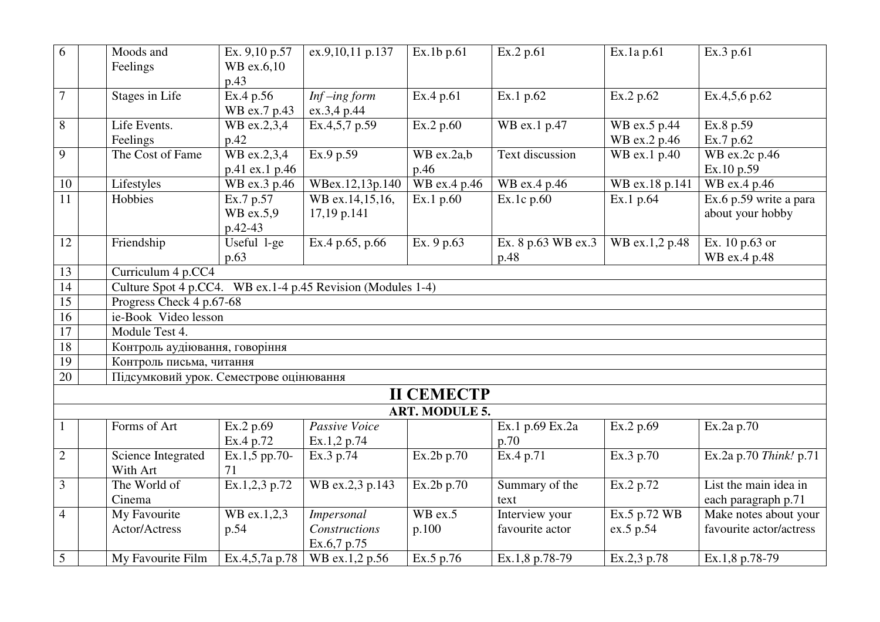| 6               |                    | Moods and                                                   | Ex. 9,10 p.57  | ex.9,10,11 p.137           | Ex.1b p.61              | Ex.2 p.61          | Ex.1a p.61     | Ex.3 p.61                  |  |  |
|-----------------|--------------------|-------------------------------------------------------------|----------------|----------------------------|-------------------------|--------------------|----------------|----------------------------|--|--|
|                 |                    | Feelings                                                    | WB ex.6,10     |                            |                         |                    |                |                            |  |  |
|                 |                    |                                                             | p.43           |                            |                         |                    |                |                            |  |  |
| $\overline{7}$  |                    | <b>Stages in Life</b>                                       | Ex.4 p.56      | $\overline{Inf}$ -ing form | Ex.4 p.61               | Ex.1 p.62          | Ex.2 p.62      | Ex.4,5,6 p.62              |  |  |
|                 |                    |                                                             | WB ex.7 p.43   | ex.3,4 p.44                |                         |                    |                |                            |  |  |
| 8               |                    | Life Events.                                                | WB ex.2,3,4    | Ex.4, 5, 7, p.59           | Ex.2 p.60               | WB ex.1 p.47       | WB ex.5 p.44   | Ex.8 p.59                  |  |  |
|                 |                    | Feelings                                                    | p.42           |                            |                         |                    | WB ex.2 p.46   | Ex.7 p.62                  |  |  |
| 9               |                    | The Cost of Fame                                            | WB ex.2,3,4    | Ex.9 p.59                  | $\overline{WB}$ ex.2a,b | Text discussion    | WB ex.1 p.40   | $\overline{WB}$ ex.2c p.46 |  |  |
|                 |                    |                                                             | p.41 ex.1 p.46 |                            | p.46                    |                    |                | Ex.10 p.59                 |  |  |
| 10              |                    | Lifestyles                                                  | WB ex.3 p.46   | WBex.12,13p.140            | WB ex.4 p.46            | WB ex.4 p.46       | WB ex.18 p.141 | WB ex.4 p.46               |  |  |
| 11              |                    | Hobbies                                                     | Ex.7 p.57      | WB ex.14,15,16,            | Ex.1 p.60               | Ex.1c p.60         | Ex.1 p.64      | Ex.6 p.59 write a para     |  |  |
|                 |                    |                                                             | WB ex.5,9      | 17,19 p.141                |                         |                    |                | about your hobby           |  |  |
|                 |                    |                                                             | p.42-43        |                            |                         |                    |                |                            |  |  |
| 12              |                    | Friendship                                                  | Useful 1-ge    | Ex.4 p.65, p.66            | Ex. 9 p.63              | Ex. 8 p.63 WB ex.3 | WB ex.1,2 p.48 | Ex. 10 p.63 or             |  |  |
|                 |                    |                                                             | p.63           |                            |                         | p.48               |                | WB ex.4 p.48               |  |  |
| 13              | Curriculum 4 p.CC4 |                                                             |                |                            |                         |                    |                |                            |  |  |
| $\overline{14}$ |                    | Culture Spot 4 p.CC4. WB ex.1-4 p.45 Revision (Modules 1-4) |                |                            |                         |                    |                |                            |  |  |
| $\overline{15}$ |                    | Progress Check 4 p.67-68                                    |                |                            |                         |                    |                |                            |  |  |
| 16              |                    | ie-Book Video lesson                                        |                |                            |                         |                    |                |                            |  |  |
| 17              |                    | Module Test 4.                                              |                |                            |                         |                    |                |                            |  |  |
| 18              |                    | Контроль аудіювання, говоріння                              |                |                            |                         |                    |                |                            |  |  |
| 19              |                    | Контроль письма, читання                                    |                |                            |                         |                    |                |                            |  |  |
| $\overline{20}$ |                    | Підсумковий урок. Семестрове оцінювання                     |                |                            |                         |                    |                |                            |  |  |
|                 |                    |                                                             |                |                            | <b>II CEMECTP</b>       |                    |                |                            |  |  |
|                 |                    |                                                             |                |                            | <b>ART. MODULE 5.</b>   |                    |                |                            |  |  |
|                 |                    | Forms of Art                                                | Ex.2 p.69      | Passive Voice              |                         | Ex.1 p.69 Ex.2a    | Ex.2 p.69      | Ex.2a p.70                 |  |  |
|                 |                    |                                                             | Ex.4 p.72      | Ex.1,2 p.74                |                         | p.70               |                |                            |  |  |
| $\overline{2}$  |                    | Science Integrated                                          | Ex.1,5 pp.70-  | Ex.3 p.74                  | Ex.2b p.70              | Ex.4 p.71          | Ex.3 p.70      | Ex.2a p.70 Think! p.71     |  |  |
|                 |                    | With Art                                                    | 71             |                            |                         |                    |                |                            |  |  |
| 3               |                    | The World of                                                | Ex.1,2,3 p.72  | WB ex.2,3 p.143            | Ex.2b p.70              | Summary of the     | Ex.2 p.72      | List the main idea in      |  |  |
|                 |                    | Cinema                                                      |                |                            |                         | text               |                | each paragraph p.71        |  |  |
| $\overline{4}$  |                    | My Favourite                                                | WB ex.1,2,3    | <b>Impersonal</b>          | WB ex.5                 | Interview your     | Ex.5 p.72 WB   | Make notes about your      |  |  |
|                 |                    | Actor/Actress                                               | p.54           | Constructions              | p.100                   | favourite actor    | ex.5 p.54      | favourite actor/actress    |  |  |
|                 |                    |                                                             |                | Ex.6,7 p.75                |                         |                    |                |                            |  |  |
| 5               |                    | My Favourite Film                                           | Ex.4,5,7a p.78 | WB ex.1,2 p.56             | Ex.5 p.76               | Ex.1,8 p.78-79     | Ex.2,3 p.78    | Ex.1,8 p.78-79             |  |  |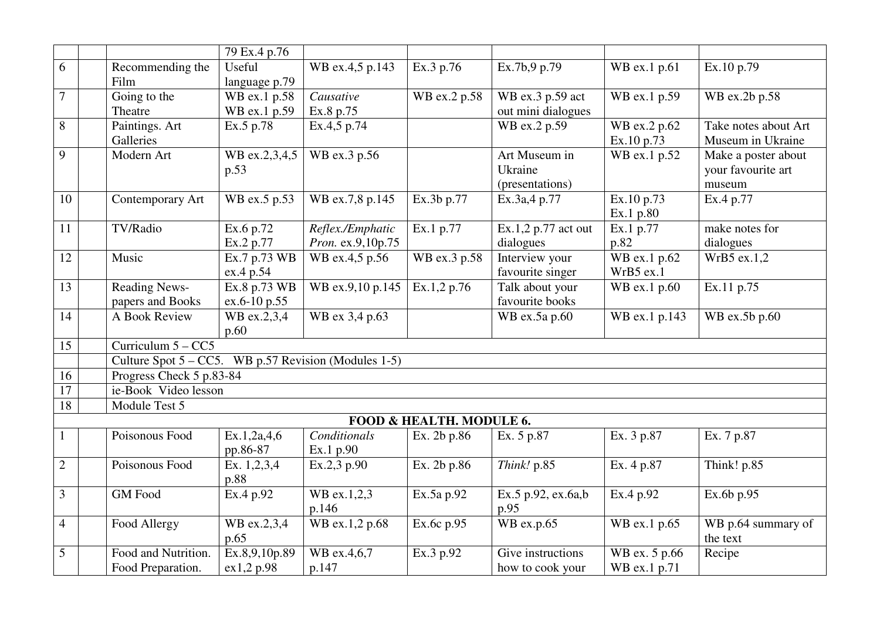|                |                                                         | 79 Ex.4 p.76  |                   |                          |                                         |                           |                      |
|----------------|---------------------------------------------------------|---------------|-------------------|--------------------------|-----------------------------------------|---------------------------|----------------------|
| 6              | Recommending the                                        | Useful        | WB ex.4,5 p.143   | Ex.3 p.76                | Ex.7b,9 p.79                            | WB ex.1 p.61              | Ex.10 p.79           |
|                | Film                                                    | language p.79 |                   |                          |                                         |                           |                      |
| 7              | Going to the                                            | WB ex.1 p.58  | Causative         | WB ex.2 p.58             | WB ex.3 p.59 act                        | WB ex.1 p.59              | WB ex.2b p.58        |
|                | Theatre                                                 | WB ex.1 p.59  | Ex.8 p.75         |                          | out mini dialogues                      |                           |                      |
| 8              | Paintings. Art                                          | Ex.5 p.78     | Ex.4,5 p.74       |                          | WB ex.2 p.59                            | WB ex.2 p.62              | Take notes about Art |
|                | Galleries                                               |               |                   |                          |                                         | Ex.10 p.73                | Museum in Ukraine    |
| 9              | Modern Art                                              | WB ex.2,3,4,5 | WB ex.3 p.56      |                          | Art Museum in                           | WB ex.1 p.52              | Make a poster about  |
|                |                                                         | p.53          |                   |                          | Ukraine                                 |                           | your favourite art   |
|                |                                                         |               |                   |                          | (presentations)                         |                           | museum               |
| 10             | Contemporary Art                                        | WB ex.5 p.53  | WB ex.7,8 p.145   | Ex.3b p.77               | Ex.3a,4 p.77                            | Ex.10 p.73                | Ex.4 p.77            |
|                |                                                         |               |                   |                          |                                         | Ex.1 p.80                 |                      |
| 11             | TV/Radio                                                | Ex.6 p.72     | Reflex./Emphatic  | Ex.1 p.77                | $\overline{\text{Ex.1,2 p.77}}$ act out | Ex.1 p.77                 | make notes for       |
|                |                                                         | Ex.2 p.77     | Pron. ex.9,10p.75 |                          | dialogues                               | p.82                      | dialogues            |
| 12             | Music                                                   | Ex.7 p.73 WB  | WB ex.4,5 p.56    | WB ex.3 p.58             | Interview your                          | $\overline{WB}$ ex.1 p.62 | WrB5 ex.1,2          |
|                |                                                         | ex.4 p.54     |                   |                          | favourite singer                        | WrB5 ex.1                 |                      |
| 13             | <b>Reading News-</b>                                    | Ex.8 p.73 WB  | WB ex.9,10 p.145  | Ex.1,2 p.76              | Talk about your                         | WB ex.1 p.60              | Ex.11 p.75           |
|                | papers and Books                                        | ex.6-10 p.55  |                   |                          | favourite books                         |                           |                      |
| 14             | A Book Review                                           | WB ex.2,3,4   | WB ex 3,4 p.63    |                          | WB ex.5a p.60                           | WB ex.1 p.143             | WB ex.5b p.60        |
|                |                                                         | p.60          |                   |                          |                                         |                           |                      |
| 15             | Curriculum $5 - CC5$                                    |               |                   |                          |                                         |                           |                      |
|                | Culture Spot $5 - CC5$ . WB p.57 Revision (Modules 1-5) |               |                   |                          |                                         |                           |                      |
| 16             | Progress Check 5 p.83-84                                |               |                   |                          |                                         |                           |                      |
| 17             | ie-Book Video lesson                                    |               |                   |                          |                                         |                           |                      |
| 18             | Module Test 5                                           |               |                   |                          |                                         |                           |                      |
|                |                                                         |               |                   | FOOD & HEALTH. MODULE 6. |                                         |                           |                      |
|                | Poisonous Food                                          | Ex.1,2a,4,6   | Conditionals      | Ex. 2b p.86              | Ex. 5 p.87                              | Ex. 3 p.87                | Ex. 7 p.87           |
|                |                                                         | pp.86-87      | Ex.1 p.90         |                          |                                         |                           |                      |
| $\overline{2}$ | Poisonous Food                                          | Ex. $1,2,3,4$ | Ex.2,3 p.90       | Ex. 2b p.86              | Think! p.85                             | Ex. 4 p.87                | Think! p.85          |
|                |                                                         | p.88          |                   |                          |                                         |                           |                      |
| 3              | <b>GM</b> Food                                          | Ex.4 p.92     | WB ex.1,2,3       | Ex.5a p.92               | Ex.5 p.92, ex.6a,b                      | Ex.4 p.92                 | Ex.6b p.95           |
|                |                                                         |               | p.146             |                          | p.95                                    |                           |                      |
| $\overline{4}$ | Food Allergy                                            | WB ex.2,3,4   | WB ex.1,2 p.68    | Ex.6c p.95               | WB ex.p.65                              | WB ex.1 p.65              | WB p.64 summary of   |
|                |                                                         | p.65          |                   |                          |                                         |                           | the text             |
| 5              | Food and Nutrition.                                     | Ex.8,9,10p.89 | WB ex.4,6,7       | Ex.3 p.92                | Give instructions                       | WB ex. 5 p.66             | Recipe               |
|                | Food Preparation.                                       | ex1,2 p.98    | p.147             |                          | how to cook your                        | WB ex.1 p.71              |                      |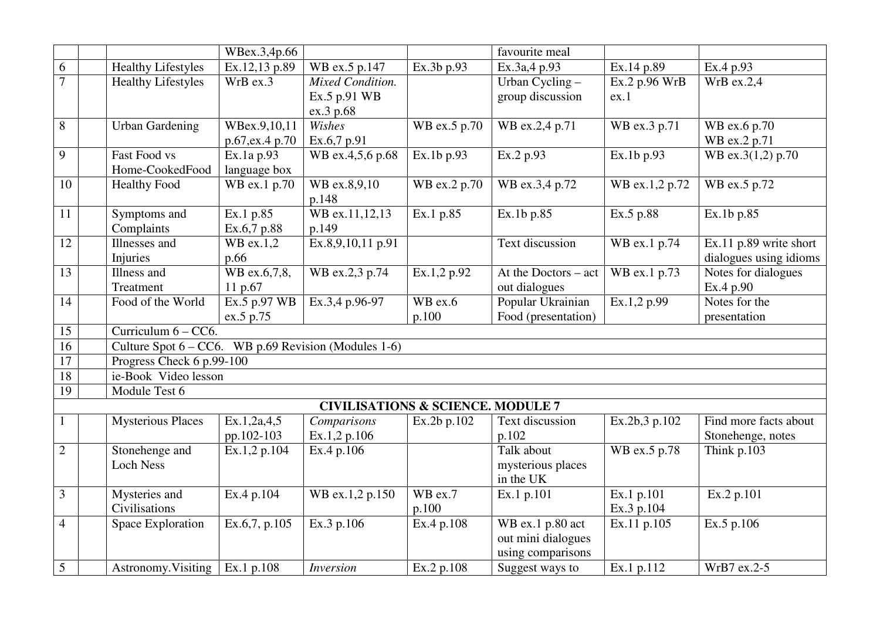|                 |                                                         | WBex.3,4p.66    |                                              |              | favourite meal          |                |                        |
|-----------------|---------------------------------------------------------|-----------------|----------------------------------------------|--------------|-------------------------|----------------|------------------------|
| 6               | Healthy Lifestyles                                      | Ex.12,13 p.89   | WB ex.5 p.147                                | Ex.3b p.93   | Ex.3a,4 p.93            | Ex.14 p.89     | Ex.4 p.93              |
| $\overline{7}$  | <b>Healthy Lifestyles</b>                               | WrB ex.3        | Mixed Condition.                             |              | Urban Cycling -         | Ex.2 p.96 WrB  | $WrB$ ex.2,4           |
|                 |                                                         |                 | Ex.5 p.91 WB                                 |              | group discussion        | ex.1           |                        |
|                 |                                                         |                 | ex.3 p.68                                    |              |                         |                |                        |
| 8               | <b>Urban Gardening</b>                                  | WBex.9,10,11    | Wishes                                       | WB ex.5 p.70 | WB ex.2,4 p.71          | WB ex.3 p.71   | WB ex.6 p.70           |
|                 |                                                         | p.67, ex.4 p.70 | Ex.6,7 p.91                                  |              |                         |                | WB ex.2 p.71           |
| 9               | <b>Fast Food vs</b>                                     | Ex.1a p.93      | WB ex.4,5,6 p.68                             | Ex.1b p.93   | Ex.2 p.93               | Ex.1b p.93     | WB ex.3(1,2) p.70      |
|                 | Home-CookedFood                                         | language box    |                                              |              |                         |                |                        |
| 10              | <b>Healthy Food</b>                                     | WB ex.1 p.70    | WB ex.8,9,10                                 | WB ex.2 p.70 | WB ex.3,4 p.72          | WB ex.1,2 p.72 | WB ex.5 p.72           |
|                 |                                                         |                 | p.148                                        |              |                         |                |                        |
| 11              | Symptoms and                                            | Ex.1 p.85       | WB ex.11,12,13                               | Ex.1 p.85    | $\overline{Ex.1b}$ p.85 | Ex.5 p.88      | Ex.1b p.85             |
|                 | Complaints                                              | Ex.6,7 p.88     | p.149                                        |              |                         |                |                        |
| 12              | Illnesses and                                           | WB ex.1,2       | Ex.8,9,10,11 p.91                            |              | Text discussion         | WB ex.1 p.74   | Ex.11 p.89 write short |
|                 | Injuries                                                | p.66            |                                              |              |                         |                | dialogues using idioms |
| 13              | Illness and                                             | WB ex.6,7,8,    | WB ex.2,3 p.74                               | Ex.1,2 p.92  | At the Doctors $-$ act  | WB ex.1 p.73   | Notes for dialogues    |
|                 | Treatment                                               | 11 p.67         |                                              |              | out dialogues           |                | Ex.4 p.90              |
| 14              | Food of the World                                       | Ex.5 p.97 WB    | Ex.3,4 p.96-97                               | WB ex.6      | Popular Ukrainian       | Ex.1,2 p.99    | Notes for the          |
|                 |                                                         | ex.5 p.75       |                                              | p.100        | Food (presentation)     |                | presentation           |
| 15              | Curriculum $6 - CC$                                     |                 |                                              |              |                         |                |                        |
| 16              | Culture Spot $6 - CC6$ . WB p.69 Revision (Modules 1-6) |                 |                                              |              |                         |                |                        |
| $\overline{17}$ | Progress Check 6 p.99-100                               |                 |                                              |              |                         |                |                        |
| 18              | ie-Book Video lesson                                    |                 |                                              |              |                         |                |                        |
| $\overline{19}$ | Module Test 6                                           |                 |                                              |              |                         |                |                        |
|                 |                                                         |                 | <b>CIVILISATIONS &amp; SCIENCE. MODULE 7</b> |              |                         |                |                        |
|                 | <b>Mysterious Places</b>                                | Ex.1,2a,4,5     | Comparisons                                  | Ex.2b p.102  | Text discussion         | Ex.2b,3 p.102  | Find more facts about  |
|                 |                                                         | pp.102-103      | Ex.1,2 p.106                                 |              | p.102                   |                | Stonehenge, notes      |
| $\overline{2}$  | Stonehenge and                                          | Ex.1,2 p.104    | Ex.4 p.106                                   |              | Talk about              | WB ex.5 p.78   | Think p.103            |
|                 | <b>Loch Ness</b>                                        |                 |                                              |              | mysterious places       |                |                        |
|                 |                                                         |                 |                                              |              | in the UK               |                |                        |
| 3               | Mysteries and                                           | Ex.4 p.104      | WB ex.1,2 p.150                              | $WB$ ex.7    | Ex.1 p.101              | Ex.1 p.101     | Ex.2 p.101             |
|                 | Civilisations                                           |                 |                                              | p.100        |                         | Ex.3 p.104     |                        |
| $\overline{4}$  | Space Exploration                                       | Ex.6,7, p.105   | Ex.3 p.106                                   | Ex.4 p.108   | WB ex.1 p.80 act        | Ex.11 p.105    | Ex.5 p.106             |
|                 |                                                         |                 |                                              |              | out mini dialogues      |                |                        |
|                 |                                                         |                 |                                              |              | using comparisons       |                |                        |
| 5               | Astronomy. Visiting $\vert$ Ex.1 p.108                  |                 | <i>Inversion</i>                             | Ex.2 p.108   | Suggest ways to         | Ex.1 p.112     | WrB7 ex.2-5            |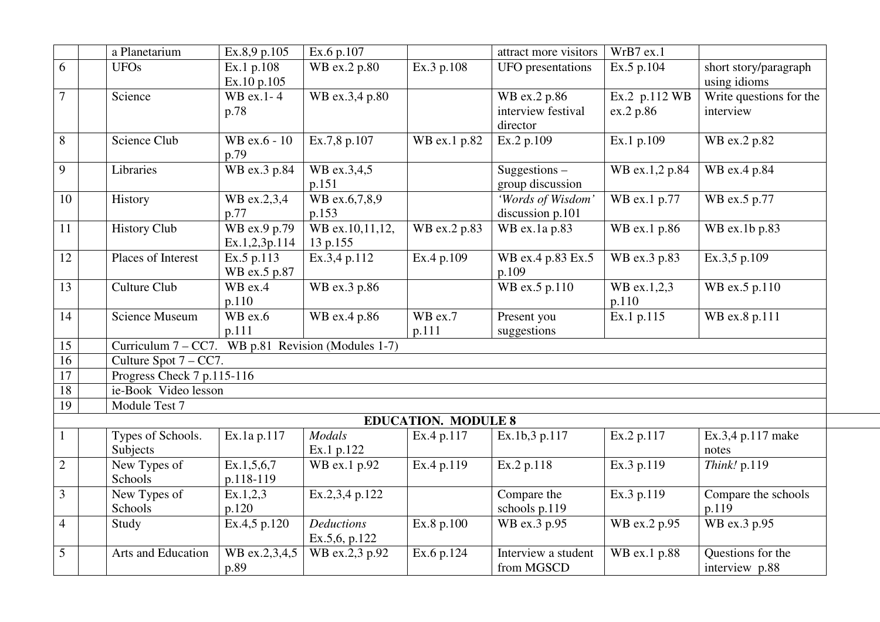|                 | a Planetarium                                         | Ex.8,9 p.105                  | Ex.6 p.107                         |                            | attract more visitors                 | WrB7 ex.1               |                                       |
|-----------------|-------------------------------------------------------|-------------------------------|------------------------------------|----------------------------|---------------------------------------|-------------------------|---------------------------------------|
| 6               | <b>UFOs</b>                                           | Ex.1 p.108<br>Ex.10 p.105     | WB ex.2 p.80                       | Ex.3 p.108                 | UFO presentations                     | Ex.5 p.104              | short story/paragraph<br>using idioms |
| 7               | Science                                               | WB ex.1-4                     | WB ex.3,4 p.80                     |                            | WB ex.2 p.86                          | Ex.2 p.112 WB           | Write questions for the               |
|                 |                                                       | p.78                          |                                    |                            | interview festival<br>director        | ex.2 p.86               | interview                             |
| 8               | Science Club                                          | WB ex.6 - 10<br>p.79          | Ex.7,8 p.107                       | WB ex.1 p.82               | Ex.2 p.109                            | Ex.1 p.109              | WB ex.2 p.82                          |
| 9               | Libraries                                             | WB ex.3 p.84                  | WB ex.3,4,5<br>p.151               |                            | Suggestions $-$<br>group discussion   | WB ex.1,2 p.84          | WB ex.4 p.84                          |
| 10              | History                                               | WB ex.2,3,4<br>p.77           | WB ex.6,7,8,9<br>p.153             |                            | 'Words of Wisdom'<br>discussion p.101 | WB ex.1 p.77            | WB ex.5 p.77                          |
| 11              | <b>History Club</b>                                   | WB ex.9 p.79<br>Ex.1,2,3p.114 | WB ex.10,11,12,<br>13 p.155        | WB ex.2 p.83               | WB ex.1a p.83                         | WB ex.1 p.86            | WB ex.1b p.83                         |
| 12              | Places of Interest                                    | Ex.5 p.113<br>WB ex.5 p.87    | Ex.3,4 p.112                       | Ex.4 p.109                 | WB ex.4 p.83 Ex.5<br>p.109            | WB ex.3 p.83            | Ex.3,5 p.109                          |
| 13              | <b>Culture Club</b>                                   | $WB$ ex.4<br>p.110            | WB ex.3 p.86                       |                            | WB ex.5 $\overline{p.110}$            | WB ex.1,2,3<br>p.110    | WB ex.5 p.110                         |
| 14              | <b>Science Museum</b>                                 | WB ex.6<br>p.111              | WB ex.4 p.86                       | $WB$ ex.7<br>p.111         | Present you<br>suggestions            | Ex.1 p.115              | WB ex.8 p.111                         |
| 15              | Curriculum $7 - CC7$ . WB p.81 Revision (Modules 1-7) |                               |                                    |                            |                                       |                         |                                       |
| 16              | Culture Spot $7 - CC7$ .                              |                               |                                    |                            |                                       |                         |                                       |
| $\overline{17}$ | Progress Check 7 p.115-116                            |                               |                                    |                            |                                       |                         |                                       |
| $\overline{18}$ | ie-Book Video lesson                                  |                               |                                    |                            |                                       |                         |                                       |
| 19              | Module Test 7                                         |                               |                                    |                            |                                       |                         |                                       |
|                 |                                                       |                               |                                    | <b>EDUCATION. MODULE 8</b> |                                       |                         |                                       |
| $\mathbf{1}$    | Types of Schools.<br>Subjects                         | Ex.1a p.117                   | <b>Modals</b><br>Ex.1 p.122        | Ex.4 p.117                 | Ex.1b,3 p.117                         | Ex.2 p.117              | Ex.3,4 p.117 make<br>notes            |
| $\mathbf{2}$    | New Types of<br>Schools                               | Ex.1, 5, 6, 7<br>p.118-119    | WB ex.1 p.92                       | Ex.4 p.119                 | Ex.2 p.118                            | Ex.3 p.119              | Think! p.119                          |
| 3               | New Types of<br>Schools                               | Ex.1,2,3<br>p.120             | Ex.2,3,4 p.122                     |                            | Compare the<br>schools p.119          | $\overline{Ex.3}$ p.119 | Compare the schools<br>p.119          |
| $\overline{4}$  | Study                                                 | Ex.4,5 p.120                  | <b>Deductions</b><br>Ex.5,6, p.122 | Ex.8 p.100                 | WB ex.3 p.95                          | WB ex.2 p.95            | WB ex.3 p.95                          |
| 5               | Arts and Education                                    | WB ex.2,3,4,5<br>p.89         | WB ex.2,3 p.92                     | Ex.6 p.124                 | Interview a student<br>from MGSCD     | WB ex.1 p.88            | Questions for the<br>interview p.88   |